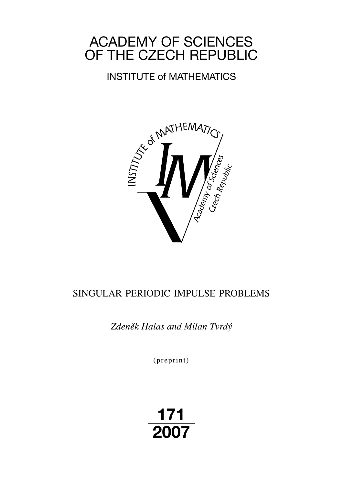# ACADEMY OF SCIENCES OF THE CZECH REPUBLIC

# INSTITUTE of MATHEMATICS



# SINGULAR PERIODIC IMPULSE PROBLEMS

*Zdeněk Halas and Milan Tvrdý*

 $(p$  reprint $)$ 

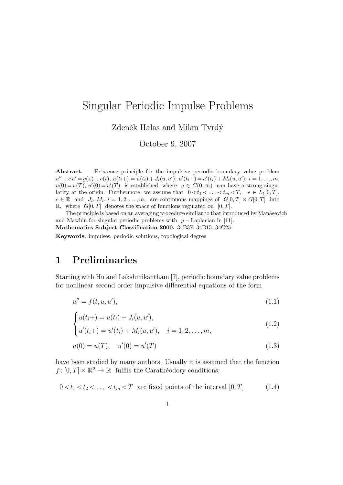## Singular Periodic Impulse Problems

Zdeněk Halas and Milan Tvrdý

October 9, 2007

Abstract. Existence principle for the impulsive periodic boundary value problem  $u'' + cu' = g(x) + e(t), u(t_i+) = u(t_i) + J_i(u, u'), u'(t_i+) = u'(t_i) + M_i(u, u'), i = 1, ..., m,$  $u(0) = u(T)$ ,  $u'(0) = u'(T)$  is established, where  $g \in C(0,\infty)$  can have a strong singularity at the origin. Furthermore, we assume that  $0 < t_1 < \ldots < t_m < T$ ,  $e \in L_1[0,T]$ ,  $c \in \mathbb{R}$  and  $J_i, M_i, i = 1, 2, ..., m$ , are continuous mappings of  $G[0, T] \times G[0, T]$  into R, where  $G[0, T]$  denotes the space of functions regulated on  $[0, T]$ .

The principle is based on an averaging procedure similar to that introduced by Manásevich and Mawhin for singular periodic problems with  $p -$  Laplacian in [11]. Mathematics Subject Classification 2000. 34B37, 34B15, 34C25

Keywords. impulses, periodic solutions, topological degree

### 1 Preliminaries

Starting with Hu and Lakshmikantham [7], periodic boundary value problems for nonlinear second order impulsive differential equations of the form

$$
u'' = f(t, u, u'),
$$
\n(1.1)

$$
\begin{cases} u(t_i+) = u(t_i) + J_i(u, u'), \\ u'(t_i+) = u'(t_i) + M_i(u, u'), \quad i = 1, 2, \dots, m, \end{cases}
$$
\n(1.2)

$$
\left\{ \begin{array}{ll} a_{i}(i+1) - a_{i}(i) + M_{i}(a, a), & i = 1, 2, \ldots, m, \end{array} \right.
$$

$$
u(0) = u(T), \quad u'(0) = u'(T) \tag{1.3}
$$

have been studied by many authors. Usually it is assumed that the function  $f: [0, T] \times \mathbb{R}^2 \to \mathbb{R}$  fulfils the Carathéodory conditions,

$$
0 < t_1 < t_2 < \ldots < t_m < T
$$
 are fixed points of the interval [0, T] (1.4)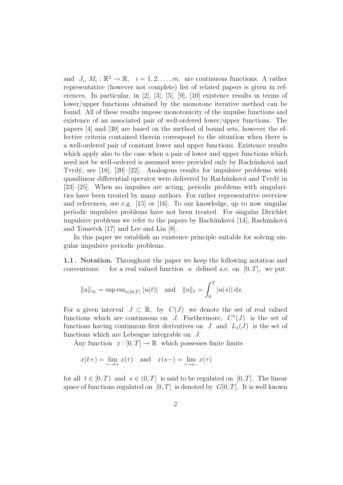and  $J_i, M_i: \mathbb{R}^2 \to \mathbb{R}, i = 1, 2, \ldots, m$ , are continuous functions. A rather representative (however not complete) list of related papers is given in references. In particular, in [2], [3], [5], [9], [10] existence results in terms of lower/upper functions obtained by the monotone iterative method can be found. All of these results impose monotonicity of the impulse functions and existence of an associated pair of well-ordered lower/upper functions. The papers [4] and [30] are based on the method of bound sets, however the effective criteria contained therein correspond to the situation when there is a well-ordered pair of constant lower and upper functions. Existence results which apply also to the case when a pair of lower and upper functions which need not be well-ordered is assumed were provided only by Rachůnková and Tvrdý, see [18], [20]–[22]. Analogous results for impulsive problems with quasilinear differential operator were delivered by Rachůnková and Tvrdý in [23]–[25]. When no impulses are acting, periodic problems with singularities have been treated by many authors. For rather representative overview and references, see e.g. [15] or [16]. To our knowledge, up to now singular periodic impulsive problems have not been treated. For singular Dirichlet impulsive problems we refer to the papers by Rachůnková [14], Rachůnková and Tomeček [17] and Lee and Liu [8].

In this paper we establish an existence principle suitable for solving singular impulsive periodic problems.

1.1 . Notation. Throughout the paper we keep the following notation and conventions: for a real valued function u defined a.e. on  $[0, T]$ , we put

$$
||u||_{\infty} = \sup \text{ess}_{t \in [0,T]} |u(t)|
$$
 and  $||u||_1 = \int_0^T |u(s)| ds$ .

For a given interval  $J \subset \mathbb{R}$ , by  $C(J)$  we denote the set of real valued functions which are continuous on J. Furthermore,  $C^1(J)$  is the set of functions having continuous first derivatives on  $J$  and  $L_1(J)$  is the set of functions which are Lebesgue integrable on J.

Any function  $x : [0, T] \to \mathbb{R}$  which possesses finite limits

$$
x(t+) = \lim_{\tau \to t+} x(\tau) \quad \text{and} \quad x(s-) = \lim_{\tau \to s-} x(\tau)
$$

for all  $t \in [0, T)$  and  $s \in (0, T]$  is said to be regulated on [0, T]. The linear space of functions regulated on  $[0, T]$  is denoted by  $G[0, T]$ . It is well known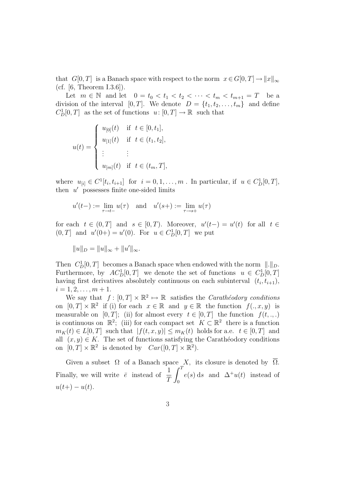that  $G[0, T]$  is a Banach space with respect to the norm  $x \in G[0, T] \to ||x||_{\infty}$ (cf.  $[6,$  Theorem I.3.6]).

Let  $m \in \mathbb{N}$  and let  $0 = t_0 < t_1 < t_2 < \cdots < t_m < t_{m+1} = T$  be a division of the interval [0, T]. We denote  $D = \{t_1, t_2, \ldots, t_m\}$  and define  $C_D^1[0,T]$  as the set of functions  $u: [0,T] \to \mathbb{R}$  such that

$$
u(t) = \begin{cases} u_{[0]}(t) & \text{if } t \in [0, t_1], \\ u_{[1]}(t) & \text{if } t \in (t_1, t_2], \\ \vdots & \vdots \\ u_{[m]}(t) & \text{if } t \in (t_m, T], \end{cases}
$$

where  $u_{[i]} \in C^1[t_i, t_{i+1}]$  for  $i = 0, 1, \ldots, m$ . In particular, if  $u \in C^1_D[0, T]$ , then  $u'$  possesses finite one-sided limits

$$
u'(t-): = \lim_{\tau \to t-} u(\tau)
$$
 and  $u'(s+): = \lim_{\tau \to s+} u(\tau)$ 

for each  $t \in (0,T]$  and  $s \in [0,T)$ . Moreover,  $u'(t-) = u'(t)$  for all  $t \in$  $(0, T]$  and  $u'(0+) = u'(0)$ . For  $u \in C_D^1[0, T]$  we put

$$
||u||_D = ||u||_{\infty} + ||u'||_{\infty}.
$$

Then  $C_D^1[0,T]$  becomes a Banach space when endowed with the norm  $\|.\|_D$ . Furthermore, by  $AC_D^1[0,T]$  we denote the set of functions  $u \in C_D^1[0,T]$ having first derivatives absolutely continuous on each subinterval  $(t_i, t_{i+1}),$  $i = 1, 2, \ldots, m + 1.$ 

We say that  $f : [0, T] \times \mathbb{R}^2 \mapsto \mathbb{R}$  satisfies the *Carathéodory conditions* on  $[0, T] \times \mathbb{R}^2$  if (i) for each  $x \in \mathbb{R}$  and  $y \in \mathbb{R}$  the function  $f(., x, y)$  is measurable on [0, T]; (ii) for almost every  $t \in [0, T]$  the function  $f(t, \ldots)$ is continuous on  $\mathbb{R}^2$ ; (iii) for each compact set  $K \subset \mathbb{R}^2$  there is a function  $m_K(t) \in L[0,T]$  such that  $|f(t,x,y)| \leq m_K(t)$  holds for a.e.  $t \in [0,T]$  and all  $(x, y) \in K$ . The set of functions satisfying the Carathéodory conditions on  $[0, T] \times \mathbb{R}^2$  is denoted by  $Car([0, T] \times \mathbb{R}^2)$ .

Given a subset  $\Omega$  of a Banach space X, its closure is denoted by  $\overline{\Omega}$ . Finally, we will write  $\bar{e}$  instead of  $\frac{1}{\sigma}$ T  $\frac{\text{ce}}{c^T}$ 0  $e(s)$  ds and  $\Delta^+u(t)$  instead of  $u(t+) - u(t)$ .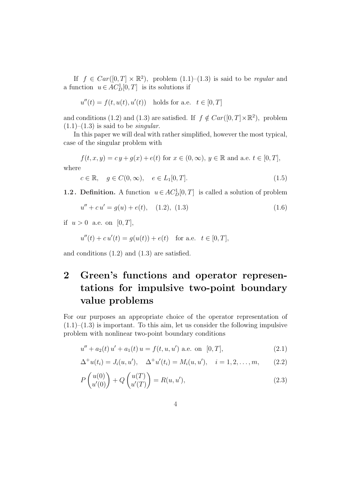If  $f \in Car([0,T] \times \mathbb{R}^2)$ , problem  $(1.1)$ – $(1.3)$  is said to be *regular* and a function  $u \in AC_D^1[0,T]$  is its solutions if

$$
u''(t) = f(t, u(t), u'(t)) \quad \text{holds for a.e.} \quad t \in [0, T]
$$

and conditions (1.2) and (1.3) are satisfied. If  $f \notin Car([0,T] \times \mathbb{R}^2)$ , problem  $(1.1)$ – $(1.3)$  is said to be *singular*.

In this paper we will deal with rather simplified, however the most typical, case of the singular problem with

 $f(t, x, y) = c y + g(x) + e(t)$  for  $x \in (0, \infty), y \in \mathbb{R}$  and a.e.  $t \in [0, T],$ where

$$
c \in \mathbb{R}, \quad g \in C(0, \infty), \quad e \in L_1[0, T]. \tag{1.5}
$$

**1.2.** Definition. A function  $u \in AC_D^1[0, T]$  is called a solution of problem

$$
u'' + c u' = g(u) + e(t), \quad (1.2), (1.3)
$$
\n(1.6)

if  $u > 0$  a.e. on  $[0, T]$ ,

$$
u''(t) + c u'(t) = g(u(t)) + e(t) \text{ for a.e. } t \in [0, T],
$$

and conditions (1.2) and (1.3) are satisfied.

## 2 Green's functions and operator representations for impulsive two-point boundary value problems

For our purposes an appropriate choice of the operator representation of  $(1.1)$ – $(1.3)$  is important. To this aim, let us consider the following impulsive problem with nonlinear two-point boundary conditions

$$
u'' + a_2(t) u' + a_1(t) u = f(t, u, u') \text{ a.e. on } [0, T],
$$
\n(2.1)

$$
\Delta^+ u(t_i) = J_i(u, u'), \quad \Delta^+ u'(t_i) = M_i(u, u'), \quad i = 1, 2, \dots, m,
$$
 (2.2)

$$
P\begin{pmatrix} u(0) \\ u'(0) \end{pmatrix} + Q\begin{pmatrix} u(T) \\ u'(T) \end{pmatrix} = R(u, u'), \qquad (2.3)
$$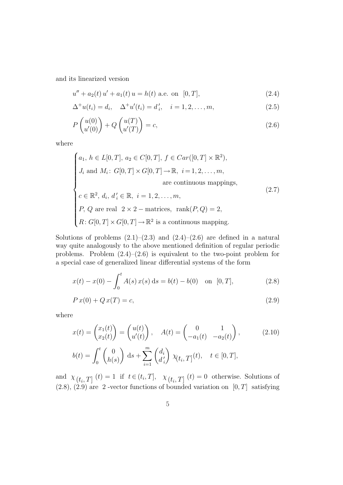and its linearized version

$$
u'' + a_2(t) u' + a_1(t) u = h(t) \text{ a.e. on } [0, T],
$$
\n(2.4)

$$
\Delta^{+}u(t_i) = d_i, \quad \Delta^{+}u'(t_i) = d'_i, \quad i = 1, 2, ..., m,
$$
\n(2.5)

$$
P\begin{pmatrix}u(0)\\u'(0)\end{pmatrix} + Q\begin{pmatrix}u(T)\\u'(T)\end{pmatrix} = c,
$$
\n(2.6)

where

$$
\begin{cases}\na_1, h \in L[0, T], a_2 \in C[0, T], f \in Car([0, T] \times \mathbb{R}^2), \\
J_i \text{ and } M_i: G[0, T] \times G[0, T] \to \mathbb{R}, i = 1, 2, \dots, m, \\
& \text{are continuous mappings,} \\
c \in \mathbb{R}^2, d_i, d'_i \in \mathbb{R}, i = 1, 2, \dots, m, \\
P, Q \text{ are real } 2 \times 2 - \text{matrices, } \text{rank}(P, Q) = 2, \\
R: G[0, T] \times G[0, T] \to \mathbb{R}^2 \text{ is a continuous mapping.}\n\end{cases}
$$
\n(2.7)

Solutions of problems  $(2.1)$ – $(2.3)$  and  $(2.4)$ – $(2.6)$  are defined in a natural way quite analogously to the above mentioned definition of regular periodic problems. Problem  $(2.4)$ – $(2.6)$  is equivalent to the two-point problem for a special case of generalized linear differential systems of the form

$$
x(t) - x(0) - \int_0^t A(s) x(s) ds = b(t) - b(0) \text{ on } [0, T],
$$
 (2.8)

$$
P x(0) + Q x(T) = c,\t\t(2.9)
$$

where

$$
x(t) = \begin{pmatrix} x_1(t) \\ x_2(t) \end{pmatrix} = \begin{pmatrix} u(t) \\ u'(t) \end{pmatrix}, \quad A(t) = \begin{pmatrix} 0 & 1 \\ -a_1(t) & -a_2(t) \end{pmatrix}, \quad (2.10)
$$

$$
b(t) = \int_0^t \begin{pmatrix} 0 \\ h(s) \end{pmatrix} ds + \sum_{i=1}^m \begin{pmatrix} d_i \\ d'_i \end{pmatrix} \chi_{\left(t_i, T\right]}(t), \quad t \in [0, T],
$$

and  $\chi_{(t_i,T]}(t) = 1$  if  $t \in (t_i,T], \chi_{(t_i,T]}(t) = 0$  otherwise. Solutions of  $(2.8), (2.9)$  are 2-vector functions of bounded variation on  $[0, T]$  satisfying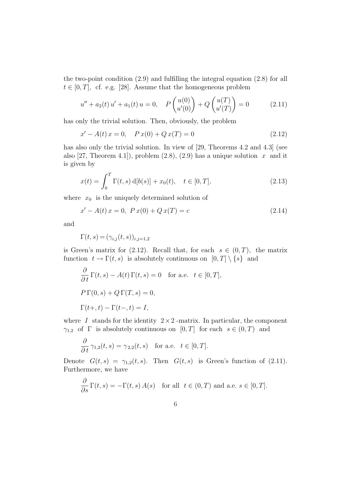the two-point condition (2.9) and fulfilling the integral equation (2.8) for all  $t \in [0, T]$ , cf. e.g. [28]. Assume that the homogeneous problem

$$
u'' + a_2(t) u' + a_1(t) u = 0, \quad P\left(\begin{array}{c} u(0) \\ u'(0) \end{array}\right) + Q\left(\begin{array}{c} u(T) \\ u'(T) \end{array}\right) = 0 \tag{2.11}
$$

has only the trivial solution. Then, obviously, the problem

$$
x' - A(t)x = 0, \quad P x(0) + Q x(T) = 0 \tag{2.12}
$$

has also only the trivial solution. In view of [29, Theorems 4.2 and 4.3] (see also [27, Theorem 4.1]), problem  $(2.8)$ ,  $(2.9)$  has a unique solution x and it is given by

$$
x(t) = \int_0^T \Gamma(t, s) d[b(s)] + x_0(t), \quad t \in [0, T],
$$
\n(2.13)

where  $x_0$  is the uniquely determined solution of

$$
x' - A(t)x = 0, \ P x(0) + Q x(T) = c \tag{2.14}
$$

and

$$
\Gamma(t,s) = (\gamma_{i,j}(t,s))_{i,j=1,2}
$$

is Green's matrix for (2.12). Recall that, for each  $s \in (0, T)$ , the matrix function  $t \to \Gamma(t, s)$  is absolutely continuous on  $[0, T] \setminus \{s\}$  and

$$
\frac{\partial}{\partial t} \Gamma(t, s) - A(t) \Gamma(t, s) = 0 \text{ for a.e. } t \in [0, T],
$$
  
\n
$$
P \Gamma(0, s) + Q \Gamma(T, s) = 0,
$$
  
\n
$$
\Gamma(t+, t) - \Gamma(t-, t) = I,
$$

where I stands for the identity  $2 \times 2$ -matrix. In particular, the component  $\gamma_{1,2}$  of  $\Gamma$  is absolutely continuous on  $[0, T]$  for each  $s \in (0, T)$  and

$$
\frac{\partial}{\partial t} \gamma_{1,2}(t,s) = \gamma_{2,2}(t,s) \quad \text{for a.e.} \quad t \in [0,T].
$$

Denote  $G(t, s) = \gamma_{1,2}(t, s)$ . Then  $G(t, s)$  is Green's function of (2.11). Furthermore, we have

$$
\frac{\partial}{\partial s} \Gamma(t, s) = -\Gamma(t, s) A(s) \quad \text{for all} \ \ t \in (0, T) \ \text{and a.e.} \ s \in [0, T].
$$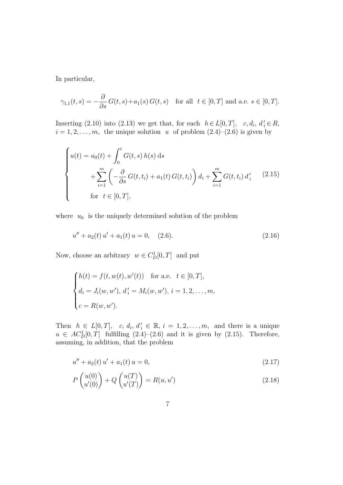In particular,

$$
\gamma_{1,1}(t,s) = -\frac{\partial}{\partial s} G(t,s) + a_1(s) G(t,s) \quad \text{for all} \ \ t \in [0,T] \text{ and a.e. } s \in [0,T].
$$

Inserting (2.10) into (2.13) we get that, for each  $h \in L[0, T]$ ,  $c, d_i, d'_i \in R$ ,  $i = 1, 2, \ldots, m$ , the unique solution u of problem  $(2.4)$ – $(2.6)$  is given by

$$
\begin{cases}\n u(t) = u_0(t) + \int_0^t G(t, s) h(s) \, ds \\
 + \sum_{i=1}^m \left( -\frac{\partial}{\partial s} G(t, t_i) + a_1(t) G(t, t_i) \right) d_i + \sum_{i=1}^m G(t, t_i) d'_i \quad (2.15) \\
 \text{for } t \in [0, T],\n\end{cases}
$$

where  $u_0$  is the uniquely determined solution of the problem

$$
u'' + a_2(t) u' + a_1(t) u = 0, \quad (2.6).
$$
\n(2.16)

Now, choose an arbitrary  $w \in C_D^1[0,T]$  and put

$$
\begin{cases}\nh(t) = f(t, w(t), w'(t)) & \text{for a.e. } t \in [0, T], \\
d_i = J_i(w, w'), d'_i = M_i(w, w'), i = 1, 2, \dots, m, \\
c = R(w, w').\n\end{cases}
$$

Then  $h \in L[0,T], c, d_i, d'_i \in \mathbb{R}, i = 1, 2, ..., m$ , and there is a unique  $u \in AC_D^1[0,T]$  fulfilling  $(2.4)-(2.6)$  and it is given by  $(2.15)$ . Therefore, assuming, in addition, that the problem

$$
u'' + a_2(t) u' + a_1(t) u = 0,
$$
\n(2.17)

$$
P\begin{pmatrix}u(0)\\u'(0)\end{pmatrix} + Q\begin{pmatrix}u(T)\\u'(T)\end{pmatrix} = R(u, u')
$$
\n(2.18)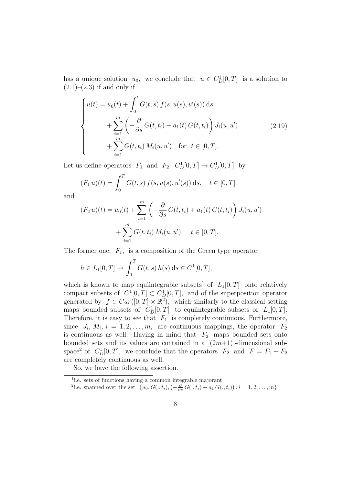has a unique solution  $u_0$ , we conclude that  $u \in C_D^1[0,T]$  is a solution to  $(2.1)–(2.3)$  if and only if

$$
\begin{cases}\nu(t) = u_0(t) + \int_0^t G(t, s) f(s, u(s), u'(s)) ds \\
+ \sum_{i=1}^m \left( -\frac{\partial}{\partial s} G(t, t_i) + a_1(t) G(t, t_i) \right) J_i(u, u') \\
+ \sum_{i=1}^m G(t, t_i) M_i(u, u') \quad \text{for } t \in [0, T].\n\end{cases} \tag{2.19}
$$

Let us define operators  $F_1$  and  $F_2$ :  $C_D^1[0,T] \to C_D^1[0,T]$  by

$$
(F_1 u)(t) = \int_0^T G(t, s) f(s, u(s), u'(s)) ds, \quad t \in [0, T]
$$

and

$$
(F_2 u)(t) = u_0(t) + \sum_{i=1}^m \left( -\frac{\partial}{\partial s} G(t, t_i) + a_1(t) G(t, t_i) \right) J_i(u, u')
$$
  
+ 
$$
\sum_{i=1}^m G(t, t_i) M_i(u, u'), \quad t \in [0, T].
$$

The former one,  $F_1$ , is a composition of the Green type operator

$$
h \in L_1[0, T] \to \int_0^T G(t, s) h(s) ds \in C^1[0, T],
$$

which is known to map equiintegrable subsets<sup>1</sup> of  $L_1[0,T]$  onto relatively compact subsets of  $C^1[0,T] \subset C^1_D[0,T]$ , and of the superposition operator generated by  $f \in Car([0,T] \times \mathbb{R}^2)$ , which similarly to the classical setting maps bounded subsets of  $C_D^1[0,T]$  to equiintegrable subsets of  $L_1[0,T]$ . Therefore, it is easy to see that  $F_1$  is completely continuous. Furthermore, since  $J_i, M_i, i = 1, 2, ..., m$ , are continuous mappings, the operator  $F_2$ is continuous as well. Having in mind that  $F_2$  maps bounded sets onto bounded sets and its values are contained in a  $(2m+1)$ -dimensional subspace<sup>2</sup> of  $C_D^1[0,T]$ , we conclude that the operators  $F_2$  and  $F = F_1 + F_2$ are completely continuous as well.

So, we have the following assertion.

<sup>&</sup>lt;sup>1</sup>i.e. sets of functions having a common integrable majorant

<sup>&</sup>lt;sup>2</sup>i.e. spanned over the set  $\{u_0, G(., t_i), \left(-\frac{\partial}{\partial s} G(., t_i) + a_1 G(., t_i)\right)\}$ ¢  $, i = 1, 2, \ldots, m\}$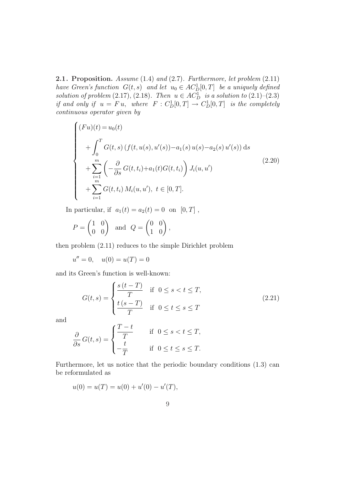2.1. Proposition. Assume (1.4) and (2.7). Furthermore, let problem (2.11) have Green's function  $G(t, s)$  and let  $u_0 \in AC_D^1[0, T]$  be a uniquely defined solution of problem  $(2.17)$ ,  $(2.18)$ . Then  $u \in ACD^1$  is a solution to  $(2.1)$ – $(2.3)$ if and only if  $u = Fu$ , where  $F : C^1_D[0,T] \to C^1_D[0,T]$  is the completely continuous operator given by

$$
\begin{cases}\n(Fu)(t) = u_0(t) \\
+ \int_0^T G(t, s) (f(t, u(s), u'(s)) - a_1(s) u(s) - a_2(s) u'(s)) ds \\
+ \sum_{i=1}^m \left( -\frac{\partial}{\partial s} G(t, t_i) + a_1(t) G(t, t_i) \right) J_i(u, u') \\
+ \sum_{i=1}^m G(t, t_i) M_i(u, u'), t \in [0, T].\n\end{cases}
$$
\n(2.20)

In particular, if  $a_1(t) = a_2(t) = 0$  on  $[0, T]$ ,

$$
P = \begin{pmatrix} 1 & 0 \\ 0 & 0 \end{pmatrix} \text{ and } Q = \begin{pmatrix} 0 & 0 \\ 1 & 0 \end{pmatrix},
$$

then problem (2.11) reduces to the simple Dirichlet problem

 $u'' = 0$ ,  $u(0) = u(T) = 0$ 

and its Green's function is well-known:

$$
G(t,s) = \begin{cases} \frac{s(t-T)}{T} & \text{if } 0 \le s < t \le T, \\ \frac{t(s-T)}{T} & \text{if } 0 \le t \le s \le T \end{cases} \tag{2.21}
$$

and

$$
\frac{\partial}{\partial s} G(t, s) = \begin{cases} \frac{T - t}{T} & \text{if } 0 \le s < t \le T, \\ -\frac{t}{T} & \text{if } 0 \le t \le s \le T. \end{cases}
$$

Furthermore, let us notice that the periodic boundary conditions (1.3) can be reformulated as

$$
u(0) = u(T) = u(0) + u'(0) - u'(T),
$$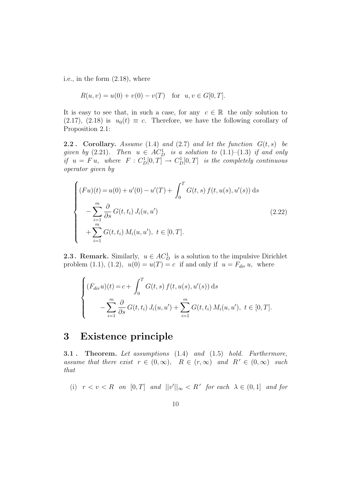i.e., in the form (2.18), where

$$
R(u, v) = u(0) + v(0) - v(T) \quad \text{for} \ \ u, v \in G[0, T].
$$

It is easy to see that, in such a case, for any  $c \in \mathbb{R}$  the only solution to (2.17), (2.18) is  $u_0(t) \equiv c$ . Therefore, we have the following corollary of Proposition 2.1:

**2.2**. Corollary. Assume (1.4) and (2.7) and let the function  $G(t, s)$  be given by  $(2.21)$ . Then  $u \in AC_D^1$  is a solution to  $(1.1)$ – $(1.3)$  if and only if  $u = Fu$ , where  $F : C_D^1[0,T] \to C_D^1[0,T]$  is the completely continuous operator given by

$$
\begin{cases}\n(Fu)(t) = u(0) + u'(0) - u'(T) + \int_0^T G(t, s) f(t, u(s), u'(s)) ds \\
-\sum_{i=1}^m \frac{\partial}{\partial s} G(t, t_i) J_i(u, u') \\
+\sum_{i=1}^m G(t, t_i) M_i(u, u'), t \in [0, T].\n\end{cases}
$$
\n(2.22)

**2.3. Remark.** Similarly,  $u \in AC_D^1$  is a solution to the impulsive Dirichlet problem (1.1), (1.2),  $u(0) = u(T) = c$  if and only if  $u = F_{dir} u$ , where

$$
\begin{cases}\n(F_{dir}u)(t) = c + \int_0^T G(t, s) f(t, u(s), u'(s)) ds \\
- \sum_{i=1}^m \frac{\partial}{\partial s} G(t, t_i) J_i(u, u') + \sum_{i=1}^m G(t, t_i) M_i(u, u'), \ t \in [0, T].\n\end{cases}
$$

## 3 Existence principle

3.1 . Theorem. Let assumptions (1.4) and (1.5) hold. Furthermore, assume that there exist  $r \in (0,\infty)$ ,  $R \in (r,\infty)$  and  $R' \in (0,\infty)$  such that

(i)  $r < v < R$  on  $[0, T]$  and  $||v'||_{\infty} < R'$  for each  $\lambda \in (0, 1]$  and for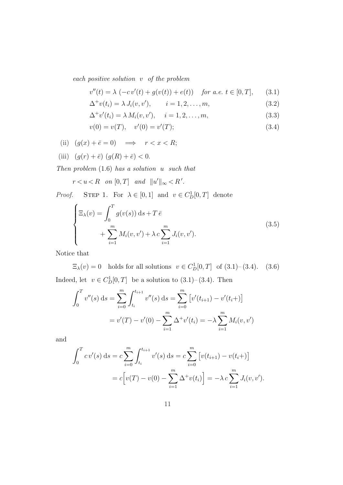each positive solution v of the problem

$$
v''(t) = \lambda \, (-cv'(t) + g(v(t)) + e(t)) \quad \text{for a.e. } t \in [0, T], \qquad (3.1)
$$

$$
\Delta^+ v(t_i) = \lambda J_i(v, v'), \qquad i = 1, 2, \dots, m,
$$
\n(3.2)

$$
\Delta^+ v'(t_i) = \lambda M_i(v, v'), \quad i = 1, 2, \dots, m,
$$
\n(3.3)

$$
v(0) = v(T), \quad v'(0) = v'(T); \tag{3.4}
$$

(ii) 
$$
(g(x) + \bar{e} = 0)
$$
  $\implies$   $r < x < R$ ;

(iii)  $(g(r) + \bar{e}) (g(R) + \bar{e}) < 0.$ 

Then problem  $(1.6)$  has a solution u such that

$$
r < u < R \quad \text{on } [0, T] \quad \text{and} \quad \|u'\|_{\infty} < R'.
$$

*Proof.* STEP 1. For  $\lambda \in [0,1]$  and  $v \in C_D^1[0,T]$  denote

$$
\begin{cases}\n\Xi_{\lambda}(v) = \int_0^T g(v(s)) ds + T \bar{e} \\
+ \sum_{i=1}^m M_i(v, v') + \lambda c \sum_{i=1}^m J_i(v, v').\n\end{cases}
$$
\n(3.5)

Notice that

 $\Xi_{\lambda}(v) = 0$  holds for all solutions  $v \in C_{D}^{1}[0, T]$  of  $(3.1) - (3.4)$ .  $(3.6)$ Indeed, let  $v \in C_D^1[0,T]$  be a solution to  $(3.1)$ – $(3.4)$ . Then

$$
\int_0^T v''(s) ds = \sum_{i=0}^m \int_{t_i}^{t_{i+1}} v''(s) ds = \sum_{i=0}^m \left[ v'(t_{i+1}) - v'(t_i+) \right]
$$

$$
= v'(T) - v'(0) - \sum_{i=1}^m \Delta^+ v'(t_i) = -\lambda \sum_{i=1}^m M_i(v, v')
$$

and

$$
\int_0^T c v'(s) ds = c \sum_{i=0}^m \int_{t_i}^{t_{i+1}} v'(s) ds = c \sum_{i=0}^m [v(t_{i+1}) - v(t_i+)]
$$
  
=  $c [v(T) - v(0) - \sum_{i=1}^m \Delta^+ v(t_i)] = -\lambda c \sum_{i=1}^m J_i(v, v').$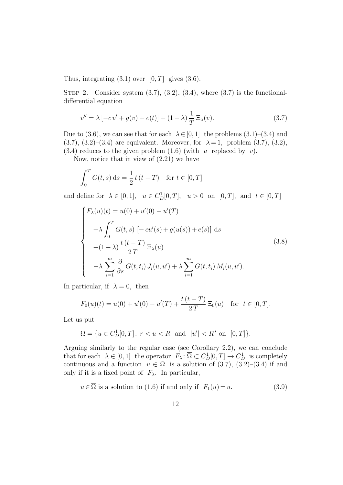Thus, integrating  $(3.1)$  over  $[0, T]$  gives  $(3.6)$ .

STEP 2. Consider system  $(3.7), (3.2), (3.4),$  where  $(3.7)$  is the functionaldifferential equation

$$
v'' = \lambda [-c v' + g(v) + e(t)] + (1 - \lambda) \frac{1}{T} \Xi_{\lambda}(v).
$$
 (3.7)

Due to (3.6), we can see that for each  $\lambda \in [0,1]$  the problems (3.1)–(3.4) and (3.7), (3.2)–(3.4) are equivalent. Moreover, for  $\lambda = 1$ , problem (3.7), (3.2),  $(3.4)$  reduces to the given problem  $(1.6)$  (with u replaced by v).

Now, notice that in view of (2.21) we have

$$
\int_0^T G(t,s) \, ds = \frac{1}{2} t (t - T) \quad \text{for } t \in [0, T]
$$

and define for  $\lambda \in [0, 1]$ ,  $u \in C_{D}^{1}[0, T]$ ,  $u > 0$  on  $[0, T]$ , and  $t \in [0, T]$ 

$$
\begin{cases}\nF_{\lambda}(u)(t) = u(0) + u'(0) - u'(T) \\
+ \lambda \int_{0}^{T} G(t, s) \left[ -cu'(s) + g(u(s)) + e(s) \right] ds \\
+ (1 - \lambda) \frac{t(t - T)}{2T} \Xi_{\lambda}(u) \\
- \lambda \sum_{i=1}^{m} \frac{\partial}{\partial s} G(t, t_i) J_i(u, u') + \lambda \sum_{i=1}^{m} G(t, t_i) M_i(u, u').\n\end{cases}
$$
\n(3.8)

In particular, if  $\lambda = 0$ , then

$$
F_0(u)(t) = u(0) + u'(0) - u'(T) + \frac{t(t - T)}{2T} \Xi_0(u) \text{ for } t \in [0, T].
$$

Let us put

$$
\Omega = \{ u \in C_D^1[0, T] \colon r < u < R \text{ and } |u'| < R' \text{ on } [0, T] \}.
$$

Arguing similarly to the regular case (see Corollary 2.2), we can conclude that for each  $\lambda \in [0,1]$  the operator  $F_{\lambda} : \overline{\Omega} \subset C_{D}^{1}[0,T] \to C_{D}^{1}$  is completely continuous and a function  $v \in \overline{\Omega}$  is a solution of (3.7), (3.2)–(3.4) if and only if it is a fixed point of  $F_{\lambda}$ . In particular,

$$
u \in \overline{\Omega}
$$
 is a solution to (1.6) if and only if  $F_1(u) = u$ . (3.9)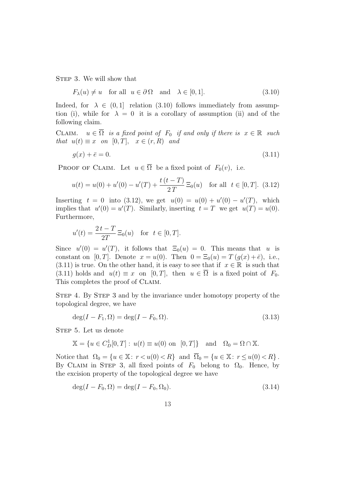STEP 3. We will show that

$$
F_{\lambda}(u) \neq u \quad \text{for all} \quad u \in \partial \Omega \quad \text{and} \quad \lambda \in [0, 1]. \tag{3.10}
$$

Indeed, for  $\lambda \in (0,1]$  relation (3.10) follows immediately from assumption (i), while for  $\lambda = 0$  it is a corollary of assumption (ii) and of the following claim.

CLAIM.  $u \in \overline{\Omega}$  is a fixed point of  $F_0$  if and only if there is  $x \in \mathbb{R}$  such that  $u(t) \equiv x$  on [0, T],  $x \in (r, R)$  and

$$
g(x) + \bar{e} = 0.\tag{3.11}
$$

PROOF OF CLAIM. Let  $u \in \overline{\Omega}$  be a fixed point of  $F_0(v)$ , i.e.

$$
u(t) = u(0) + u'(0) - u'(T) + \frac{t(t - T)}{2T} \Xi_0(u) \quad \text{for all} \ \ t \in [0, T]. \tag{3.12}
$$

Inserting  $t = 0$  into (3.12), we get  $u(0) = u(0) + u'(0) - u'(T)$ , which implies that  $u'(0) = u'(T)$ . Similarly, inserting  $t = T$  we get  $u(T) = u(0)$ . Furthermore,

$$
u'(t) = \frac{2t - T}{2T} \Xi_0(u)
$$
 for  $t \in [0, T]$ .

Since  $u'(0) = u'(T)$ , it follows that  $\Xi_0(u) = 0$ . This means that u is constant on [0, T]. Denote  $x = u(0)$ . Then  $0 = \Xi_0(u) = T(g(x) + \bar{e})$ , i.e., (3.11) is true. On the other hand, it is easy to see that if  $x \in \mathbb{R}$  is such that (3.11) holds and  $u(t) \equiv x$  on [0, T], then  $u \in \overline{\Omega}$  is a fixed point of  $F_0$ . This completes the proof of CLAIM.

Step 4. By Step 3 and by the invariance under homotopy property of the topological degree, we have

$$
\deg(I - F_1, \Omega) = \deg(I - F_0, \Omega). \tag{3.13}
$$

STEP 5. Let us denote

$$
\mathbb{X} = \{ u \in C_D^1[0, T] : u(t) \equiv u(0) \text{ on } [0, T] \} \text{ and } \Omega_0 = \Omega \cap \mathbb{X}.
$$

Notice that  $\Omega_0 = \{u \in \mathbb{X} : r < u(0) < R\}$  and  $\overline{\Omega}_0 = \{u \in \mathbb{X} : r \leq u(0) < R\}$ . By CLAIM in STEP 3, all fixed points of  $F_0$  belong to  $\Omega_0$ . Hence, by the excision property of the topological degree we have

$$
\deg(I - F_0, \Omega) = \deg(I - F_0, \Omega_0). \tag{3.14}
$$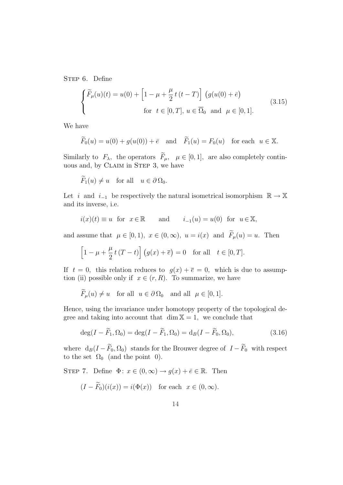STEP 6. Define

$$
\begin{cases}\n\widetilde{F}_{\mu}(u)(t) = u(0) + \left[1 - \mu + \frac{\mu}{2} t (t - T)\right] \left(g(u(0) + \bar{e})\right) \\
\text{for } t \in [0, T], u \in \overline{\Omega}_{0} \text{ and } \mu \in [0, 1].\n\end{cases}
$$
\n(3.15)

We have

$$
\widetilde{F}_0(u) = u(0) + g(u(0)) + \bar{e}
$$
 and  $\widetilde{F}_1(u) = F_0(u)$  for each  $u \in \mathbb{X}$ .

Similarly to  $F_{\lambda}$ , the operators  $\widetilde{F}_{\mu}$ ,  $\mu \in [0, 1]$ , are also completely continuous and, by CLAIM in STEP 3, we have

$$
\widetilde{F}_1(u) \neq u
$$
 for all  $u \in \partial \Omega_0$ .

Let *i* and  $i_{-1}$  be respectively the natural isometrical isomorphism  $\mathbb{R} \to \mathbb{X}$ and its inverse, i.e.

$$
i(x)(t) \equiv u
$$
 for  $x \in \mathbb{R}$  and  $i_{-1}(u) = u(0)$  for  $u \in \mathbb{X}$ ,

and assume that  $\mu \in [0, 1)$ ,  $x \in (0, \infty)$ ,  $u = i(x)$  and  $\widetilde{F}_{\mu}(u) = u$ . Then

$$
\[1 - \mu + \frac{\mu}{2}t(T - t)\] (g(x) + \overline{e}) = 0 \quad \text{for all} \quad t \in [0, T].
$$

If  $t = 0$ , this relation reduces to  $g(x) + \overline{e} = 0$ , which is due to assumption (ii) possible only if  $x \in (r, R)$ . To summarize, we have

$$
\widetilde{F}_{\mu}(u) \neq u
$$
 for all  $u \in \partial \Omega_0$  and all  $\mu \in [0, 1]$ .

Hence, using the invariance under homotopy property of the topological degree and taking into account that  $\dim X = 1$ , we conclude that

$$
\deg(I - \widetilde{F}_1, \Omega_0) = \deg(I - \widetilde{F}_1, \Omega_0) = \mathrm{d}_B(I - \widetilde{F}_0, \Omega_0),\tag{3.16}
$$

where  $d_B(I - \widetilde{F}_0, \Omega_0)$  stands for the Brouwer degree of  $I - \widetilde{F}_0$  with respect to the set  $\Omega_0$  (and the point 0).

STEP 7. Define  $\Phi: x \in (0, \infty) \to g(x) + \overline{e} \in \mathbb{R}$ . Then

$$
(I - \widetilde{F}_0)(i(x)) = i(\Phi(x)) \text{ for each } x \in (0, \infty).
$$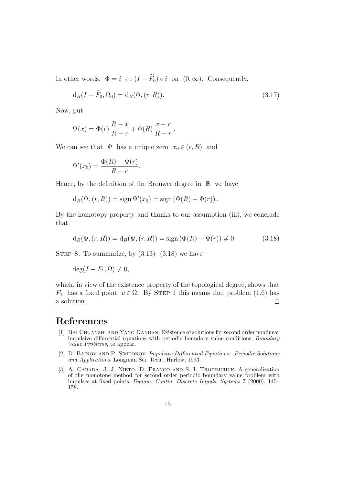In other words,  $\Phi = i_{-1} \circ (I - \widetilde{F}_0) \circ i$  on  $(0, \infty)$ . Consequently,

$$
d_B(I - \widetilde{F}_0, \Omega_0) = d_B(\Phi, (r, R)).
$$
\n(3.17)

.

Now, put

$$
\Psi(x) = \Phi(r) \frac{R-x}{R-r} + \Phi(R) \frac{x-r}{R-r}
$$

We can see that  $\Psi$  has a unique zero  $x_0 \in (r, R)$  and

$$
\Psi'(x_0) = \frac{\Phi(R) - \Phi(r)}{R - r}.
$$

Hence, by the definition of the Brouwer degree in  $\mathbb R$  we have

$$
d_B(\Psi, (r, R)) = sign \Psi'(x_0) = sign (\Phi(R) - \Phi(r)).
$$

By the homotopy property and thanks to our assumption (iii), we conclude that

$$
d_B(\Phi, (r, R)) = d_B(\Psi, (r, R)) = sign(\Phi(R) - \Phi(r)) \neq 0.
$$
 (3.18)

STEP 8. To summarize, by  $(3.13)$ – $(3.18)$  we have

$$
\deg(I - F_1, \Omega) \neq 0,
$$

which, in view of the existence property of the topological degree, shows that  $F_1$  has a fixed point  $u \in \Omega$ . By STEP 1 this means that problem (1.6) has a solution.  $\Box$ 

### References

- [1] BAI CHUANZHI AND YANG DANDAN. Existence of solutions for second order nonlinear impulsive differential equations with periodic boundary value conditions. Boundary Value Problems, to appear.
- [2] D. Bainov and P. Simeonov. Impulsive Differential Equations: Periodic Solutions and Applications. Longman Sci. Tech., Harlow, 1993.
- [3] A. CABADA, J. J. NIETO, D. FRANCO AND S. I. TROFIMCHUK. A generalization of the monotone method for second order periodic boundary value problem with impulses at fixed points. Dynam. Contin. Discrete Impuls. Systems 7 (2000), 145– 158.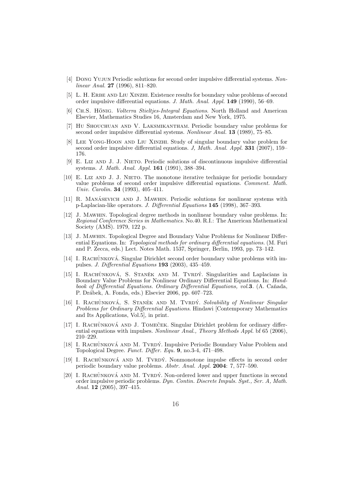- [4] Dong Yujun Periodic solutions for second order impulsive differential systems. Nonlinear Anal. 27 (1996), 811–820.
- [5] L. H. ERBE AND LIU XINZHI. Existence results for boundary value problems of second order impulsive differential equations. J. Math. Anal. Appl. 149 (1990), 56–69.
- [6] CH.S. HÖNIG. Volterra Stieltjes-Integral Equations. North Holland and American Elsevier, Mathematics Studies 16, Amsterdam and New York, 1975.
- [7] Hu Shouchuan and V. Laksmikantham. Periodic boundary value problems for second order impulsive differential systems. Nonlinear Anal. 13 (1989), 75–85.
- [8] Lee Yong-Hoon and Liu Xinzhi. Study of singular boundary value problem for second order impulsive differential equations. J, Math. Anal. Appl. 331 (2007), 159– 176.
- [9] E. Liz and J. J. Nieto. Periodic solutions of discontinuous impulsive differential systems. J. Math. Anal. Appl. 161 (1991), 388–394.
- [10] E. LIZ AND J. J. NIETO. The monotone iterative technique for periodic boundary value problems of second order impulsive differential equations. Comment. Math. Univ. Carolin. 34 (1993), 405–411.
- [11] R. MANÁSEVICH AND J. MAWHIN. Periodic solutions for nonlinear systems with p-Laplacian-like operators. J. Differential Equations 145 (1998), 367–393.
- [12] J. Mawhin. Topological degree methods in nonlinear boundary value problems. In: Regional Conference Series in Mathematics. No.40. R.I.: The American Mathematical Society (AMS). 1979, 122 p.
- [13] J. Mawhin. Topological Degree and Boundary Value Problems for Nonlinear Differential Equations. In: Topological methods for ordinary differential equations. (M. Furi and P. Zecca, eds.) Lect. Notes Math. 1537, Springer, Berlin, 1993, pp. 73–142.
- [14] I. RACHŮNKOVÁ. Singular Dirichlet second order boundary value problems with impulses. J. Differential Equations 193 (2003), 435–459.
- [15] I. RACHŮNKOVÁ, S. STANĚK AND M. TVRDÝ. Singularities and Laplacians in Boundary Value Problems for Nonlinear Ordinary Differential Equations. In: Handbook of Differential Equations. Ordinary Differential Equations, vol.3. (A. Cañada, P. Dr´abek, A. Fonda, eds.) Elsevier 2006, pp. 607–723.
- [16] I. RACHŮNKOVÁ, S. STANĚK AND M. TVRDÝ. Solvability of Nonlinear Singular Problems for Ordinary Differential Equations. Hindawi [Contemporary Mathematics and Its Applications, Vol.5], in print.
- [17] I. RACHŮNKOVÁ AND J. TOMEČEK. Singular Dirichlet problem for ordinary differential equations with impulses. Nonlinear Anal., Theory Methods Appl. bf 65 (2006), 210–229.
- [18] I. RACHŮNKOVÁ AND M. TVRDÝ. Impulsive Periodic Boundary Value Problem and Topological Degree. Funct. Differ. Equ. 9, no.3-4, 471–498.
- [19] I. RACHŮNKOVÁ AND M. TVRDÝ. Nonmonotone impulse effects in second order periodic boundary value problems. Abstr. Anal. Appl. 2004: 7, 577–590.
- [20] I. RACHŮNKOVÁ AND M. TVRDÝ. Non-ordered lower and upper functions in second order impulsive periodic problems. Dyn. Contin. Discrete Impuls. Syst., Ser. A, Math. Anal. 12 (2005), 397–415.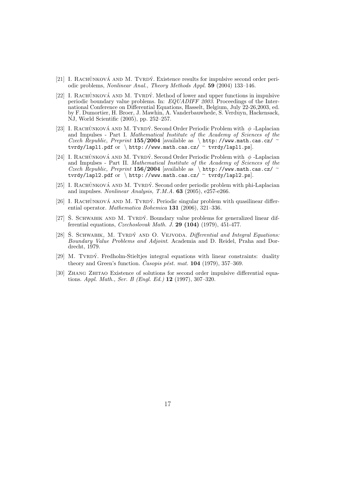- [21] I. RACHŮNKOVÁ AND M. TVRDÝ. Existence results for impulsive second order periodic problems, Nonlinear Anal., Theory Methods Appl. 59 (2004) 133–146.
- [22] I. RACHŮNKOVÁ AND M. TVRDÝ. Method of lower and upper functions in impulsive periodic boundary value problems. In: EQUADIFF 2003. Proceedings of the International Conference on Differential Equations, Hasselt, Belgium, July 22-26,2003, ed. by F. Dumortier, H. Broer, J. Mawhin, A. Vanderbauwhede, S. Verduyn, Hackensack, NJ, World Scientific (2005), pp. 252–257.
- [23] I. RACHŮNKOVÁ AND M. TVRDÝ. Second Order Periodic Problem with  $\phi$ -Laplacian and Impulses - Part I. Mathematical Institute of the Academy of Sciences of the Czech Republic, Preprint 155/2004 [available as \ http://www.math.cas.cz/  $\sim$ tvrdy/lapl1.pdf or \ http://www.math.cas.cz/  $\sim$  tvrdy/lapl1.ps].
- [24] I. RACHŮNKOVÁ AND M. TVRDÝ. Second Order Periodic Problem with  $\phi$ -Laplacian and Impulses - Part II. Mathematical Institute of the Academy of Sciences of the Czech Republic, Preprint 156/2004 [available as \ http://www.math.cas.cz/  $\sim$ tvrdy/lapl2.pdf or \ http://www.math.cas.cz/  $\sim$  tvrdy/lapl2.ps.
- [25] I. RACHŮNKOVÁ AND M. TVRDÝ. Second order periodic problem with phi-Laplacian and impulses. Nonlinear Analysis, T.M.A. 63 (2005), e257-e266.
- [26] I. RACHŮNKOVÁ AND M. TVRDÝ. Periodic singular problem with quasilinear differential operator. Mathematica Bohemica 131 (2006), 321–336.
- $[27]$  S. SCHWABIK AND M. TVRDÝ. Boundary value problems for generalized linear differential equations, Czechoslovak Math. J. 29 (104) (1979), 451-477.
- [28] S. SCHWABIK, M. TVRDÝ AND O. VEJVODA. Differential and Integral Equations: Boundary Value Problems and Adjoint. Academia and D. Reidel, Praha and Dordrecht, 1979.
- [29] M. TVRDÝ. Fredholm-Stieltjes integral equations with linear constraints: duality theory and Green's function. Casopis pest. mat.  $104$  (1979), 357–369.
- [30] ZHANG ZHITAO Existence of solutions for second order impulsive differential equations. Appl. Math., Ser. B (Engl. Ed.) 12 (1997), 307–320.